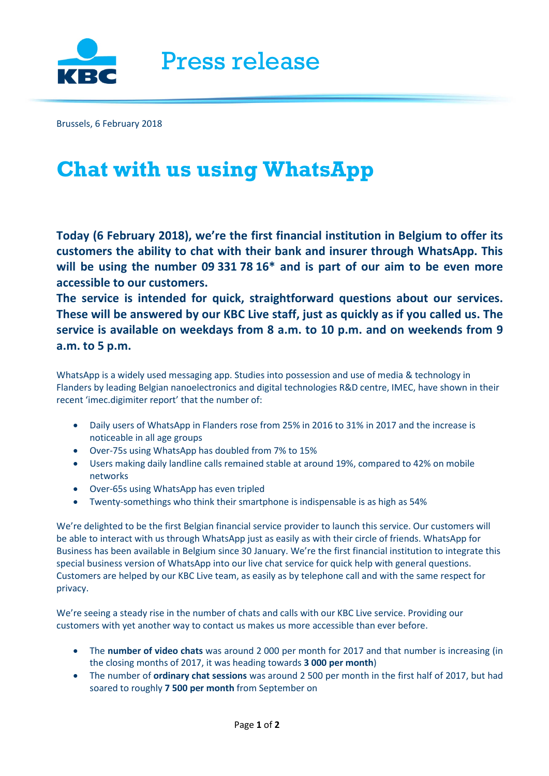

Brussels, 6 February 2018

## **Chat with us using WhatsApp**

**Today (6 February 2018), we're the first financial institution in Belgium to offer its customers the ability to chat with their bank and insurer through WhatsApp. This will be using the number 09 331 78 16\* and is part of our aim to be even more accessible to our customers.**

**The service is intended for quick, straightforward questions about our services. These will be answered by our KBC Live staff, just as quickly as if you called us. The service is available on weekdays from 8 a.m. to 10 p.m. and on weekends from 9 a.m. to 5 p.m.** 

WhatsApp is a widely used messaging app. Studies into possession and use of media & technology in Flanders by leading Belgian nanoelectronics and digital technologies R&D centre, IMEC, have shown in their recent 'imec.digimiter report' that the number of:

- Daily users of WhatsApp in Flanders rose from 25% in 2016 to 31% in 2017 and the increase is noticeable in all age groups
- Over-75s using WhatsApp has doubled from 7% to 15%
- Users making daily landline calls remained stable at around 19%, compared to 42% on mobile networks
- Over-65s using WhatsApp has even tripled
- Twenty-somethings who think their smartphone is indispensable is as high as 54%

We're delighted to be the first Belgian financial service provider to launch this service. Our customers will be able to interact with us through WhatsApp just as easily as with their circle of friends. WhatsApp for Business has been available in Belgium since 30 January. We're the first financial institution to integrate this special business version of WhatsApp into our live chat service for quick help with general questions. Customers are helped by our KBC Live team, as easily as by telephone call and with the same respect for privacy.

We're seeing a steady rise in the number of chats and calls with our KBC Live service. Providing our customers with yet another way to contact us makes us more accessible than ever before.

- The **number of video chats** was around 2 000 per month for 2017 and that number is increasing (in the closing months of 2017, it was heading towards **3 000 per month**)
- The number of **ordinary chat sessions** was around 2 500 per month in the first half of 2017, but had soared to roughly **7 500 per month** from September on